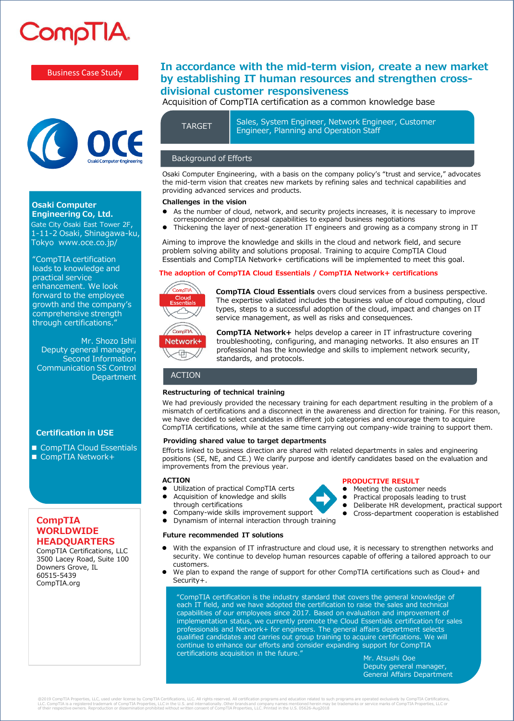# CompTIA

# Business Case Study



#### **Osaki Computer Engineering Co, Ltd.**

Gate City Osaki East Tower 2F, 1-11-2 Osaki, Shinagawa-ku, Tokyo www.oce.co.jp/

"CompTIA certification leads to knowledge and practical service enhancement. We look forward to the employee growth and the company's comprehensive strength through certifications."

Mr. Shozo Ishii Deputy general manager, Second Information Communication SS Control Department

## **Certification in USE**

■ CompTIA Cloud Essentials ■ CompTIA Network+

# **CompTIA WORLDWIDE HEADQUARTERS**

CompTIA Certifications, LLC 3500 Lacey Road, Suite 100 Downers Grove, IL 60515-5439 CompTIA.org

# **In accordance with the mid-term vision, create a new market by establishing IT human resources and strengthen crossdivisional customer responsiveness**

Acquisition of CompTIA certification as a common knowledge base

Sales, System Engineer, Network Engineer, Customer TARGET Sales, System Engineer, Network Engineer<br>Engineer, Planning and Operation Staff

### Background of Efforts

Osaki Computer Engineering, with a basis on the company policy's "trust and service," advocates the mid-term vision that creates new markets by refining sales and technical capabilities and providing advanced services and products.

#### **Challenges in the vision**

- As the number of cloud, network, and security projects increases, it is necessary to improve correspondence and proposal capabilities to expand business negotiations
- ⚫ Thickening the layer of next-generation IT engineers and growing as a company strong in IT

Aiming to improve the knowledge and skills in the cloud and network field, and secure problem solving ability and solutions proposal. Training to acquire CompTIA Cloud Essentials and CompTIA Network+ certifications will be implemented to meet this goal.

#### **The adoption of CompTIA Cloud Essentials / CompTIA Network+ certifications**



**CompTIA Cloud Essentials** overs cloud services from a business perspective. The expertise validated includes the business value of cloud computing, cloud types, steps to a successful adoption of the cloud, impact and changes on IT service management, as well as risks and consequences.



**CompTIA Network+** helps develop a career in IT infrastructure covering troubleshooting, configuring, and managing networks. It also ensures an IT professional has the knowledge and skills to implement network security, standards, and protocols.

#### ACTION

#### **Restructuring of technical training**

We had previously provided the necessary training for each department resulting in the problem of a mismatch of certifications and a disconnect in the awareness and direction for training. For this reason, we have decided to select candidates in different job categories and encourage them to acquire CompTIA certifications, while at the same time carrying out company-wide training to support them.

#### **Providing shared value to target departments**

Efforts linked to business direction are shared with related departments in sales and engineering positions (SE, NE, and CE.) We clarify purpose and identify candidates based on the evaluation and improvements from the previous year.

#### **ACTION**

- ⚫ Utilization of practical CompTIA certs ⚫ Acquisition of knowledge and skills
- through certifications ⚫ Company-wide skills improvement support
- ⚫ Dynamism of internal interaction through training

#### **Future recommended IT solutions**

- 
- **PRODUCTIVE RESULT**
	- ⚫ Meeting the customer needs
	- ⚫ Practical proposals leading to trust
	- ⚫ Deliberate HR development, practical support
	- ⚫ Cross-department cooperation is established
- With the expansion of IT infrastructure and cloud use, it is necessary to strengthen networks and security. We continue to develop human resources capable of offering a tailored approach to our customers.
- We plan to expand the range of support for other CompTIA certifications such as Cloud+ and Security+.

"CompTIA certification is the industry standard that covers the general knowledge of each IT field, and we have adopted the certification to raise the sales and technical capabilities of our employees since 2017. Based on evaluation and improvement of implementation status, we currently promote the Cloud Essentials certification for sales professionals and Network+ for engineers. The general affairs department selects qualified candidates and carries out group training to acquire certifications. We will continue to enhance our efforts and consider expanding support for CompTIA certifications acquisition in the future."

Mr. Atsushi Ooe Deputy general manager, General Affairs Department

@2019 CompTIA Properties, LLC, used under license by CompTIA Certifications, LLC. All rights reserved. All certification programs and education related to such programs are operated exclusively by CompTIA Certifications,<br>L